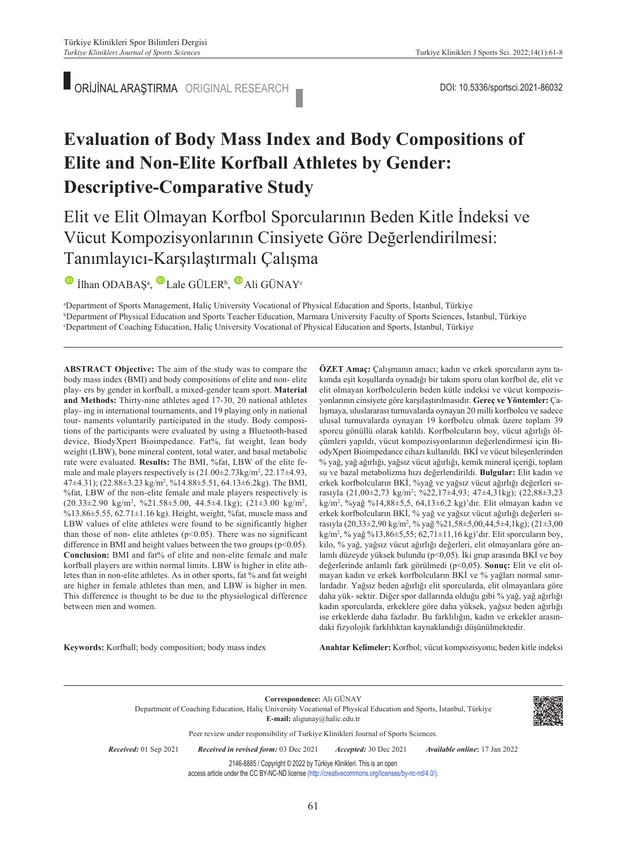ORİJİNAL ARAŞTIRMA ORIGINAL RESEARCH DOI: 10.5336/sportsci.2021-86032

# **Evaluation of Body Mass Index and Body Compositions of Elite and Non-Elite Korfball Athletes by Gender: Descriptive-Comparative Study**

# Elit ve Elit Olmayan Korfbol Sporcularının Beden Kitle İndeksi ve Vücut Kompozisyonlarının Cinsiyete Göre Değerlendirilmesi: Tanımlayıcı-Karşılaştırmalı Çalışma

IlhanODABAŞ<sup>a</sup>, Lale GÜLER<sup>b</sup>, Ali GÜNAY<sup>c</sup>

<sup>a</sup>Department of Sports Management, Haliç University Vocational of Physical Education and Sports, İstanbul, Türkiye<br><sup>b</sup>Department of Physical Education and Sports Teacher Education, Marmara University Eaculty of Sports Sci <sup>b</sup>Department of Physical Education and Sports Teacher Education, Marmara University Faculty of Sports Sciences, İstanbul, Türkiye Department of Coaching Education, Haliç University Vocational of Physical Education and Sports, İstanbul, Türkiye

**ABS TRACT Objective:** The aim of the study was to compare the body mass index (BMI) and body compositions of elite and non- elite play- ers by gender in korfball, a mixed-gender team sport. **Material and Methods:** Thirty-nine athletes aged 17-30, 20 national athletes play- ing in international tournaments, and 19 playing only in national tour- naments voluntarily participated in the study. Body compositions of the participants were evaluated by using a Bluetooth-based device, BiodyXpert Bioimpedance. Fat%, fat weight, lean body weight (LBW), bone mineral content, total water, and basal metabolic rate were evaluated. **Results:** The BMI, %fat, LBW of the elite female and male players respectively is  $(21.00\pm2.73\text{kg/m}^2, 22.17\pm4.93,$ 47±4.31); (22.88±3.23 kg/m2 , %14.88±5.51, 64.13±6.2kg). The BMI, %fat, LBW of the non-elite female and male players respectively is  $(20.33 \pm 2.90 \text{ kg/m}^2, \%21.58 \pm 5.00, 44.5 \pm 4.1 \text{kg})$ ;  $(21 \pm 3.00 \text{ kg/m}^2,$ %13.86±5.55, 62.71±1.16 kg). Height, weight, %fat, muscle mass and LBW values of elite athletes were found to be significantly higher than those of non- elite athletes ( $p<0.05$ ). There was no significant difference in BMI and height values between the two groups ( $p$ <0.05). **Conclusion:** BMI and fat% of elite and non-elite female and male korfball players are within normal limits. LBW is higher in elite athletes than in non-elite athletes. As in other sports, fat % and fat weight are higher in female athletes than men, and LBW is higher in men. This difference is thought to be due to the physiological difference between men and women.

**ÖZET Amaç:** Çalışmanın amacı; kadın ve erkek sporcuların aynı takımda eşit koşullarda oynadığı bir takım sporu olan korfbol de, elit ve elit olmayan korfbolculerin beden kütle indeksi ve vücut kompozisyonlarının cinsiyete göre karşılaştırılmasıdır. **Gereç ve Yöntemler:** Çalışmaya, uluslararası turnuvalarda oynayan 20 milli korfbolcu ve sadece ulusal turnuvalarda oynayan 19 korfbolcu olmak üzere toplam 39 sporcu gönüllü olarak katıldı. Korfbolcuların boy, vücut ağırlığı ölçümleri yapıldı, vücut kompozisyonlarının değerlendirmesi için BiodyXpert Bioimpedance cihazı kullanıldı. BKİ ve vücut bileşenlerinden % yağ, yağ ağırlığı, yağsız vücut ağırlığı, kemik mineral içeriği, toplam su ve bazal metabolizma hızı değerlendirildi. **Bulgular:** Elit kadın ve erkek korfbolcuların BKİ, %yağ ve yağsız vücut ağırlığı değerleri sırasıyla (21,00±2,73 kg/m2 ; %22,17±4,93; 47±4,31kg); (22,88±3,23 kg/m2 , %yağ %14,88±5,5, 64,13±6,2 kg)'dır. Elit olmayan kadın ve erkek korfbolcuların BKİ, % yağ ve yağsız vücut ağırlığı değerleri sırasıyla (20,33±2,90 kg/m2 , % yağ %21,58±5,00,44,5±4,1kg); (21±3,00 kg/m2 , % yağ %13,86±5,55; 62,71±11,16 kg)'dır. Elit sporcuların boy, kilo, % yağ, yağsız vücut ağırlığı değerleri, elit olmayanlara göre anlamlı düzeyde yüksek bulundu (p<0,05). İki grup arasında BKİ ve boy değerlerinde anlamlı fark görülmedi (p<0,05). **Sonuç:** Elit ve elit olmayan kadın ve erkek korfbolcuların BKİ ve % yağları normal sınırlardadır. Yağsız beden ağırlığı elit sporcularda, elit olmayanlara göre daha yük- sektir. Diğer spor dallarında olduğu gibi % yağ, yağ ağırlığı kadın sporcularda, erkeklere göre daha yüksek, yağsız beden ağırlığı ise erkeklerde daha fazladır. Bu farklılığın, kadın ve erkekler arasındaki fizyolojik farklılıktan kaynaklandığı düşünülmektedir.

**Keywords:** Korfball; body composition; body mass index

Anahtar Kelimeler: Korfbol; vücut kompozisyonu; beden kitle indeksi

**Correspondence:** Ali GÜNAY Department of Coaching Education, Haliç University Vocational of Physical Education and Sports, İstanbul, Türkiye **E-mail:** aligunay@halic.edu.tr Peer review under responsibility of Turkiye Klinikleri Journal of Sports Sciences. *Re ce i ved:* 01 Sep 2021 *Received in revised form:* 03 Dec 2021 *Ac cep ted:* 30 Dec 2021 *Available online***:** 17 Jan 2022

2146-8885 / Copyright © 2022 by Türkiye Klinikleri. This is an open

access article under the CC BY-NC-ND license [\(http://creativecommons.org/licenses/by-nc-nd/4.0/\)](https://creativecommons.org/licenses/by-nc-nd/4.0/).

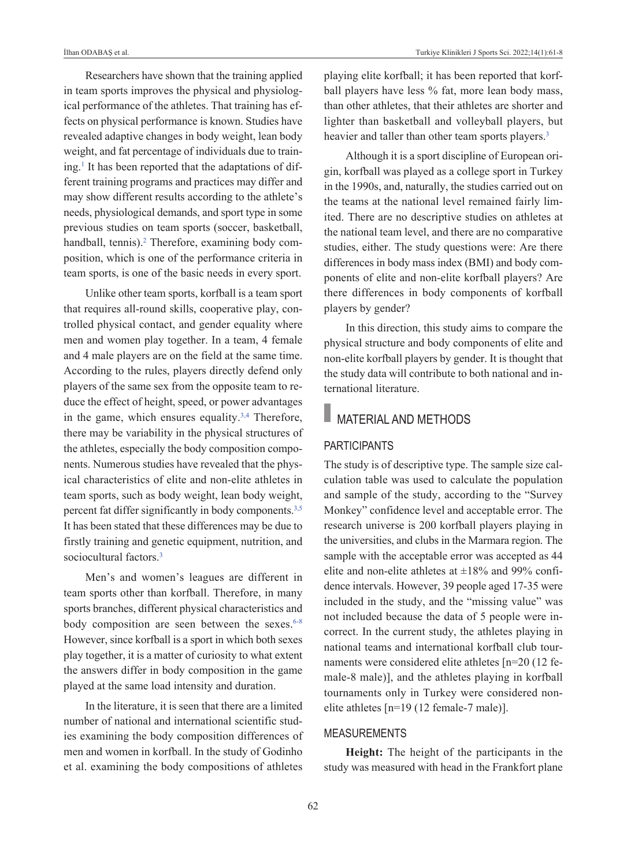Researchers have shown that the training applied in team sports improves the physical and physiological performance of the athletes. That training has effects on physical performance is known. Studies have revealed adaptive changes in body weight, lean body weight, and fat percentage of individuals due to training[.1](#page-6-0) It has been reported that the adaptations of different training programs and practices may differ and may show different results according to the athlete's needs, physiological demands, and sport type in some previous studies on team sports (soccer, basketball, handball, tennis).<sup>2</sup> Therefore, examining body composition, which is one of the performance criteria in team sports, is one of the basic needs in every sport.

Unlike other team sports, korfball is a team sport that requires all-round skills, cooperative play, controlled physical contact, and gender equality where men and women play together. In a team, 4 female and 4 male players are on the field at the same time. According to the rules, players directly defend only players of the same sex from the opposite team to reduce the effect of height, speed, or power advantages in the game, which ensures equality. $3,4$  Therefore, there may be variability in the physical structures of the athletes, especially the body composition components. Numerous studies have revealed that the physical characteristics of elite and non-elite athletes in team sports, such as body weight, lean body weight, percent fat differ significantly in body components.<sup>3,5</sup> It has been stated that these differences may be due to firstly training and genetic equipment, nutrition, and sociocultural factors.<sup>3</sup>

Men's and women's leagues are different in team sports other than korfball. Therefore, in many sports branches, different physical characteristics and body composition are seen between the sexes.<sup>6-8</sup> However, since korfball is a sport in which both sexes play together, it is a matter of curiosity to what extent the answers differ in body composition in the game played at the same load intensity and duration.

In the literature, it is seen that there are a limited number of national and international scientific studies examining the body composition differences of men and women in korfball. In the study of Godinho et al. examining the body compositions of athletes playing elite korfball; it has been reported that korfball players have less % fat, more lean body mass, than other athletes, that their athletes are shorter and lighter than basketball and volleyball players, but heavier and taller than other team sports players.<sup>3</sup>

Although it is a sport discipline of European origin, korfball was played as a college sport in Turkey in the 1990s, and, naturally, the studies carried out on the teams at the national level remained fairly limited. There are no descriptive studies on athletes at the national team level, and there are no comparative studies, either. The study questions were: Are there differences in body mass index (BMI) and body components of elite and non-elite korfball players? Are there differences in body components of korfball players by gender?

In this direction, this study aims to compare the physical structure and body components of elite and non-elite korfball players by gender. It is thought that the study data will contribute to both national and international literature.

# **MATERIAL AND METHODS**

## PARTICIPANTS

The study is of descriptive type. The sample size calculation table was used to calculate the population and sample of the study, according to the "Survey Monkey" confidence level and acceptable error. The research universe is 200 korfball players playing in the universities, and clubs in the Marmara region. The sample with the acceptable error was accepted as 44 elite and non-elite athletes at  $\pm 18\%$  and 99% confidence intervals. However, 39 people aged 17-35 were included in the study, and the "missing value" was not included because the data of 5 people were incorrect. In the current study, the athletes playing in national teams and international korfball club tournaments were considered elite athletes [n=20 (12 female-8 male)], and the athletes playing in korfball tournaments only in Turkey were considered nonelite athletes [n=19 (12 female-7 male)].

## **MEASUREMENTS**

**Height:** The height of the participants in the study was measured with head in the Frankfort plane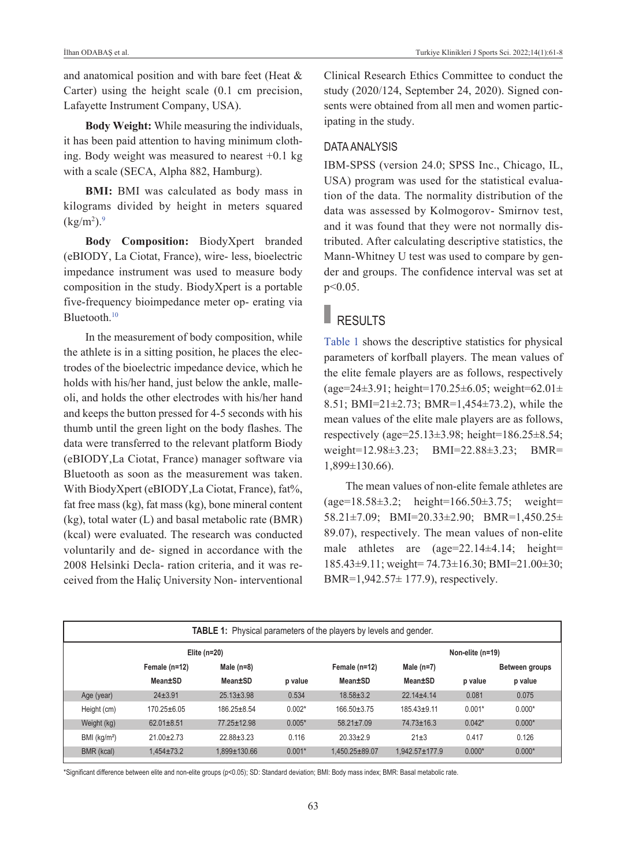and anatomical position and with bare feet (Heat & Carter) using the height scale (0.1 cm precision, Lafayette Instrument Company, USA).

**Body Weight:** While measuring the individuals, it has been paid attention to having minimum clothing. Body weight was measured to nearest  $+0.1$  kg with a scale (SECA, Alpha 882, Hamburg).

**BMI:** BMI was calculated as body mass in kilograms divided by height in meters squared  $\rm (kg/m^2).$ <sup>9</sup>

**Body Composition:** BiodyXpert branded (eBIODY, La Ciotat, France), wire- less, bioelectric impedance instrument was used to measure body composition in the study. BiodyXpert is a portable five-frequency bioimpedance meter op- erating via Bluetooth[.10](#page-6-0) 

In the measurement of body composition, while the athlete is in a sitting position, he places the electrodes of the bioelectric impedance device, which he holds with his/her hand, just below the ankle, malleoli, and holds the other electrodes with his/her hand and keeps the button pressed for 4-5 seconds with his thumb until the green light on the body flashes. The data were transferred to the relevant platform Biody (eBIODY,La Ciotat, France) manager software via Bluetooth as soon as the measurement was taken. With BiodyXpert (eBIODY,La Ciotat, France), fat%, fat free mass (kg), fat mass (kg), bone mineral content (kg), total water (L) and basal metabolic rate (BMR) (kcal) were evaluated. The research was conducted voluntarily and de- signed in accordance with the 2008 Helsinki Decla- ration criteria, and it was received from the Haliç University Non- interventional Clinical Research Ethics Committee to conduct the study (2020/124, September 24, 2020). Signed consents were obtained from all men and women participating in the study.

## DATA ANALYSIS

IBM-SPSS (version 24.0; SPSS Inc., Chicago, IL, USA) program was used for the statistical evaluation of the data. The normality distribution of the data was assessed by Kolmogorov- Smirnov test, and it was found that they were not normally distributed. After calculating descriptive statistics, the Mann-Whitney U test was used to compare by gender and groups. The confidence interval was set at p<0.05.

# RESULTS

[Table 1](#page-2-0) shows the descriptive statistics for physical parameters of korfball players. The mean values of the elite female players are as follows, respectively (age=24±3.91; height=170.25±6.05; weight=62.01± 8.51; BMI=21±2.73; BMR=1,454±73.2), while the mean values of the elite male players are as follows, respectively (age=25.13±3.98; height=186.25±8.54; weight=12.98±3.23; BMI=22.88±3.23; BMR= 1,899±130.66).

<span id="page-2-0"></span>The mean values of non-elite female athletes are (age=18.58±3.2; height=166.50±3.75; weight= 58.21±7.09; BMI=20.33±2.90; BMR=1,450.25± 89.07), respectively. The mean values of non-elite male athletes are (age=22.14±4.14; height= 185.43±9.11; weight= 74.73±16.30; BMI=21.00±30; BMR=1,942.57± 177.9), respectively.

| TABLE 1: Physical parameters of the players by levels and gender. |                   |                   |          |                   |                      |          |                |  |  |  |  |  |
|-------------------------------------------------------------------|-------------------|-------------------|----------|-------------------|----------------------|----------|----------------|--|--|--|--|--|
| Elite $(n=20)$                                                    |                   |                   |          | Non-elite (n=19)  |                      |          |                |  |  |  |  |  |
|                                                                   | Female (n=12)     | Male $(n=8)$      |          | Female (n=12)     | Male $(n=7)$         |          | Between groups |  |  |  |  |  |
|                                                                   | Mean±SD           | Mean±SD           | p value  | Mean±SD           | Mean±SD              | p value  | p value        |  |  |  |  |  |
| Age (year)                                                        | $24 + 3.91$       | $25.13 \pm 3.98$  | 0.534    | $18.58 \pm 3.2$   | $22.14 + 4.14$       | 0.081    | 0.075          |  |  |  |  |  |
| Height (cm)                                                       | $170.25 \pm 6.05$ | $186.25 \pm 8.54$ | $0.002*$ | $166.50 \pm 3.75$ | $185.43 + 9.11$      | $0.001*$ | $0.000*$       |  |  |  |  |  |
| Weight (kg)                                                       | $62.01 \pm 8.51$  | 77.25±12.98       | $0.005*$ | $58.21 \pm 7.09$  | $74.73 \pm 16.3$     | $0.042*$ | $0.000*$       |  |  |  |  |  |
| BMI (kg/m <sup>2</sup> )                                          | $21.00 + 2.73$    | $22.88 \pm 3.23$  | 0.116    | $20.33 \pm 2.9$   | $21 + 3$             | 0.417    | 0.126          |  |  |  |  |  |
| BMR (kcal)                                                        | $1.454 \pm 73.2$  | 1.899±130.66      | $0.001*$ | 1.450.25±89.07    | $1.942.57 \pm 177.9$ | $0.000*$ | $0.000*$       |  |  |  |  |  |

\*Significant difference between elite and non-elite groups (p<0.05); SD: Standard deviation; BMI: Body mass index; BMR: Basal metabolic rate.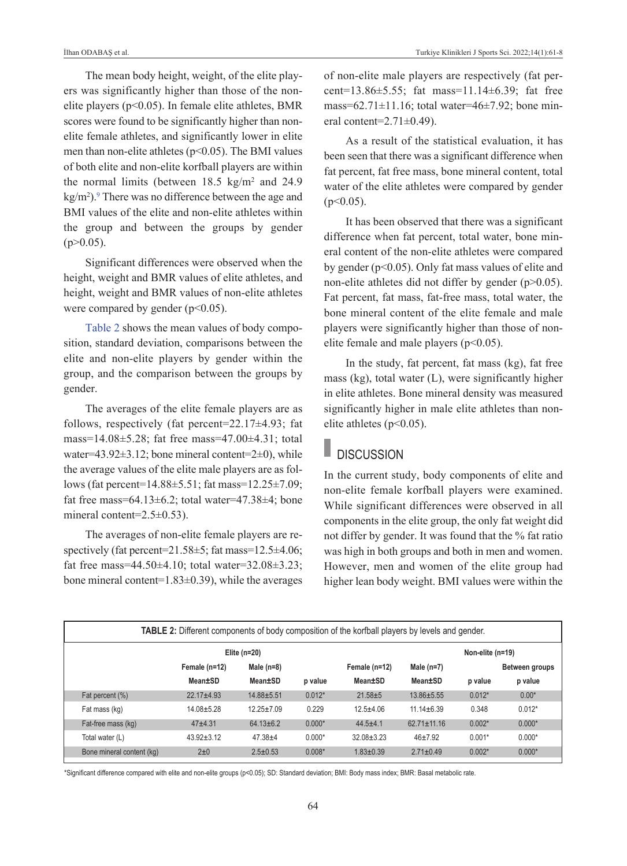The mean body height, weight, of the elite players was significantly higher than those of the nonelite players ( $p<0.05$ ). In female elite athletes, BMR scores were found to be significantly higher than nonelite female athletes, and significantly lower in elite men than non-elite athletes ( $p$ <0.05). The BMI values of both elite and non-elite korfball players are within the normal limits (between  $18.5 \text{ kg/m}^2$  and  $24.9$  $kg/m<sup>2</sup>$ ). There was no difference between the age and BMI values of the elite and non-elite athletes within the group and between the groups by gender  $(p>0.05)$ .

Significant differences were observed when the height, weight and BMR values of elite athletes, and height, weight and BMR values of non-elite athletes were compared by gender ( $p<0.05$ ).

[Table 2](#page-3-0) shows the mean values of body composition, standard deviation, comparisons between the elite and non-elite players by gender within the group, and the comparison between the groups by gender.

The averages of the elite female players are as follows, respectively (fat percent= $22.17\pm4.93$ ; fat mass=14.08±5.28; fat free mass=47.00±4.31; total water=43.92 $\pm$ 3.12; bone mineral content=2 $\pm$ 0), while the average values of the elite male players are as follows (fat percent=14.88±5.51; fat mass=12.25±7.09; fat free mass=64.13 $\pm$ 6.2; total water=47.38 $\pm$ 4; bone mineral content=2.5±0.53).

The averages of non-elite female players are respectively (fat percent=21.58±5; fat mass=12.5±4.06; fat free mass=44.50 $\pm$ 4.10; total water=32.08 $\pm$ 3.23; bone mineral content=1.83±0.39), while the averages of non-elite male players are respectively (fat percent=13.86±5.55; fat mass=11.14±6.39; fat free mass=62.71 $\pm$ 11.16; total water=46 $\pm$ 7.92; bone mineral content= $2.71\pm0.49$ ).

As a result of the statistical evaluation, it has been seen that there was a significant difference when fat percent, fat free mass, bone mineral content, total water of the elite athletes were compared by gender  $(p<0.05)$ .

It has been observed that there was a significant difference when fat percent, total water, bone mineral content of the non-elite athletes were compared by gender (p<0.05). Only fat mass values of elite and non-elite athletes did not differ by gender (p>0.05). Fat percent, fat mass, fat-free mass, total water, the bone mineral content of the elite female and male players were significantly higher than those of nonelite female and male players (p<0.05).

In the study, fat percent, fat mass (kg), fat free mass (kg), total water (L), were significantly higher in elite athletes. Bone mineral density was measured significantly higher in male elite athletes than nonelite athletes ( $p<0.05$ ).

## **DISCUSSION**

<span id="page-3-0"></span>In the current study, body components of elite and non-elite female korfball players were examined. While significant differences were observed in all components in the elite group, the only fat weight did not differ by gender. It was found that the % fat ratio was high in both groups and both in men and women. However, men and women of the elite group had higher lean body weight. BMI values were within the

| <b>TABLE 2:</b> Different components of body composition of the korfball players by levels and gender. |                  |                  |          |                  |                   |          |                |  |  |  |  |
|--------------------------------------------------------------------------------------------------------|------------------|------------------|----------|------------------|-------------------|----------|----------------|--|--|--|--|
|                                                                                                        |                  | Non-elite (n=19) |          |                  |                   |          |                |  |  |  |  |
|                                                                                                        | Female (n=12)    | Male $(n=8)$     |          | Female (n=12)    | Male $(n=7)$      |          | Between groups |  |  |  |  |
|                                                                                                        | Mean±SD          | Mean±SD          | p value  | Mean±SD          | Mean±SD           | p value  | p value        |  |  |  |  |
| Fat percent (%)                                                                                        | $22.17 + 4.93$   | 14.88±5.51       | $0.012*$ | $21.58 + 5$      | 13.86±5.55        | $0.012*$ | $0.00*$        |  |  |  |  |
| Fat mass (kg)                                                                                          | $14.08 + 5.28$   | $12.25 \pm 7.09$ | 0.229    | $12.5 + 4.06$    | $11.14 \pm 6.39$  | 0.348    | $0.012*$       |  |  |  |  |
| Fat-free mass (kg)                                                                                     | $47 + 4.31$      | $64.13 \pm 6.2$  | $0.000*$ | $44.5 + 4.1$     | $62.71 \pm 11.16$ | $0.002*$ | $0.000*$       |  |  |  |  |
| Total water (L)                                                                                        | $43.92 \pm 3.12$ | $47.38 + 4$      | $0.000*$ | $32.08 \pm 3.23$ | $46+7.92$         | $0.001*$ | $0.000*$       |  |  |  |  |
| Bone mineral content (kg)                                                                              | $2\pm 0$         | $2.5 \pm 0.53$   | $0.008*$ | $1.83 \pm 0.39$  | $2.71 \pm 0.49$   | $0.002*$ | $0.000*$       |  |  |  |  |

\*Significant difference compared with elite and non-elite groups (p<0.05); SD: Standard deviation; BMI: Body mass index; BMR: Basal metabolic rate.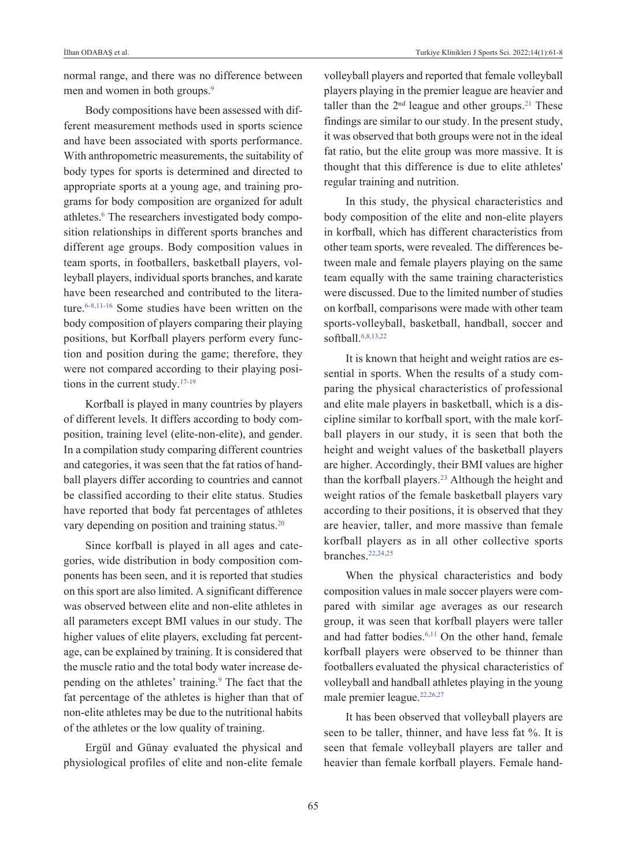normal range, and there was no difference between men and women in both groups.<sup>9</sup>

Body compositions have been assessed with different measurement methods used in sports science and have been associated with sports performance. With anthropometric measurements, the suitability of body types for sports is determined and directed to appropriate sports at a young age, and training programs for body composition are organized for adult athletes.<sup>6</sup> The researchers investigated body composition relationships in different sports branches and different age groups. Body composition values in team sports, in footballers, basketball players, volleyball players, individual sports branches, and karate have been researched and contributed to the literature[.6-8,11-16](#page-6-0) Some studies have been written on the body composition of players comparing their playing positions, but Korfball players perform every function and position during the game; therefore, they were not compared according to their playing positions in the current study[.17-19](#page-6-0)

Korfball is played in many countries by players of different levels. It differs according to body composition, training level (elite-non-elite), and gender. In a compilation study comparing different countries and categories, it was seen that the fat ratios of handball players differ according to countries and cannot be classified according to their elite status. Studies have reported that body fat percentages of athletes vary depending on position and training status.<sup>20</sup>

Since korfball is played in all ages and categories, wide distribution in body composition components has been seen, and it is reported that studies on this sport are also limited. A significant difference was observed between elite and non-elite athletes in all parameters except BMI values in our study. The higher values of elite players, excluding fat percentage, can be explained by training. It is considered that the muscle ratio and the total body water increase depending on the athletes' training.<sup>9</sup> The fact that the fat percentage of the athletes is higher than that of non-elite athletes may be due to the nutritional habits of the athletes or the low quality of training.

Ergül and Günay evaluated the physical and physiological profiles of elite and non-elite female volleyball players and reported that female volleyball players playing in the premier league are heavier and taller than the  $2<sup>nd</sup>$  league and other groups.<sup>21</sup> These findings are similar to our study. In the present study, it was observed that both groups were not in the ideal fat ratio, but the elite group was more massive. It is thought that this difference is due to elite athletes' regular training and nutrition.

In this study, the physical characteristics and body composition of the elite and non-elite players in korfball, which has different characteristics from other team sports, were revealed. The differences between male and female players playing on the same team equally with the same training characteristics were discussed. Due to the limited number of studies on korfball, comparisons were made with other team sports-volleyball, basketball, handball, soccer and softball[.6,8,13,22](#page-6-0) 

It is known that height and weight ratios are essential in sports. When the results of a study comparing the physical characteristics of professional and elite male players in basketball, which is a discipline similar to korfball sport, with the male korfball players in our study, it is seen that both the height and weight values of the basketball players are higher. Accordingly, their BMI values are higher than the korfball players.<sup>23</sup> Although the height and weight ratios of the female basketball players vary according to their positions, it is observed that they are heavier, taller, and more massive than female korfball players as in all other collective sports branches[.22,24,25](#page-6-0)

When the physical characteristics and body composition values in male soccer players were compared with similar age averages as our research group, it was seen that korfball players were taller and had fatter bodies[.6,11](#page-6-0) On the other hand, female korfball players were observed to be thinner than footballers evaluated the physical characteristics of volleyball and handball athletes playing in the young male premier league.<sup>22,26,27</sup>

It has been observed that volleyball players are seen to be taller, thinner, and have less fat %. It is seen that female volleyball players are taller and heavier than female korfball players. Female hand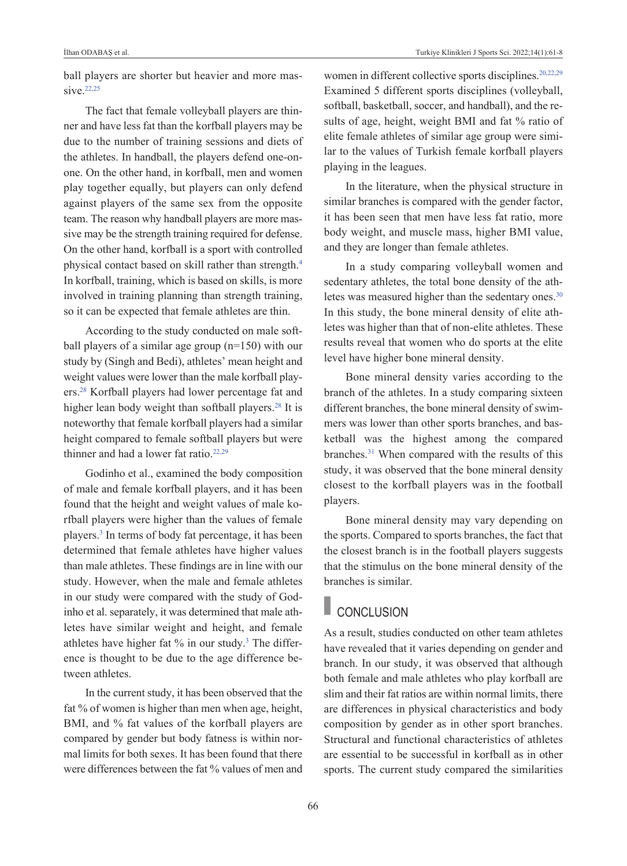ball players are shorter but heavier and more massive.<sup>22,25</sup>

The fact that female volleyball players are thinner and have less fat than the korfball players may be due to the number of training sessions and diets of the athletes. In handball, the players defend one-onone. On the other hand, in korfball, men and women play together equally, but players can only defend against players of the same sex from the opposite team. The reason why handball players are more massive may be the strength training required for defense. On the other hand, korfball is a sport with controlled physical contact based on skill rather than strength.<sup>4</sup> In korfball, training, which is based on skills, is more involved in training planning than strength training, so it can be expected that female athletes are thin.

According to the study conducted on male softball players of a similar age group (n=150) with our study by (Singh and Bedi), athletes' mean height and weight values were lower than the male korfball players[.28](#page-6-0) Korfball players had lower percentage fat and higher lean body weight than softball players.<sup>28</sup> It is noteworthy that female korfball players had a similar height compared to female softball players but were thinner and had a lower fat ratio.<sup>22,29</sup>

Godinho et al., examined the body composition of male and female korfball players, and it has been found that the height and weight values of male korfball players were higher than the values of female players[.3](#page-6-0) In terms of body fat percentage, it has been determined that female athletes have higher values than male athletes. These findings are in line with our study. However, when the male and female athletes in our study were compared with the study of Godinho et al. separately, it was determined that male athletes have similar weight and height, and female athletes have higher fat  $%$  in our study.<sup>3</sup> The difference is thought to be due to the age difference between athletes.

In the current study, it has been observed that the fat % of women is higher than men when age, height, BMI, and % fat values of the korfball players are compared by gender but body fatness is within normal limits for both sexes. It has been found that there were differences between the fat % values of men and women in different collective sports disciplines.<sup>20,22,29</sup> Examined 5 different sports disciplines (volleyball, softball, basketball, soccer, and handball), and the results of age, height, weight BMI and fat % ratio of elite female athletes of similar age group were similar to the values of Turkish female korfball players playing in the leagues.

In the literature, when the physical structure in similar branches is compared with the gender factor, it has been seen that men have less fat ratio, more body weight, and muscle mass, higher BMI value, and they are longer than female athletes.

In a study comparing volleyball women and sedentary athletes, the total bone density of the athletes was measured higher than the sedentary ones.<sup>30</sup> In this study, the bone mineral density of elite athletes was higher than that of non-elite athletes. These results reveal that women who do sports at the elite level have higher bone mineral density.

Bone mineral density varies according to the branch of the athletes. In a study comparing sixteen different branches, the bone mineral density of swimmers was lower than other sports branches, and basketball was the highest among the compared branches[.31](#page-6-0) When compared with the results of this study, it was observed that the bone mineral density closest to the korfball players was in the football players.

Bone mineral density may vary depending on the sports. Compared to sports branches, the fact that the closest branch is in the football players suggests that the stimulus on the bone mineral density of the branches is similar.

## **CONCLUSION**

As a result, studies conducted on other team athletes have revealed that it varies depending on gender and branch. In our study, it was observed that although both female and male athletes who play korfball are slim and their fat ratios are within normal limits, there are differences in physical characteristics and body composition by gender as in other sport branches. Structural and functional characteristics of athletes are essential to be successful in korfball as in other sports. The current study compared the similarities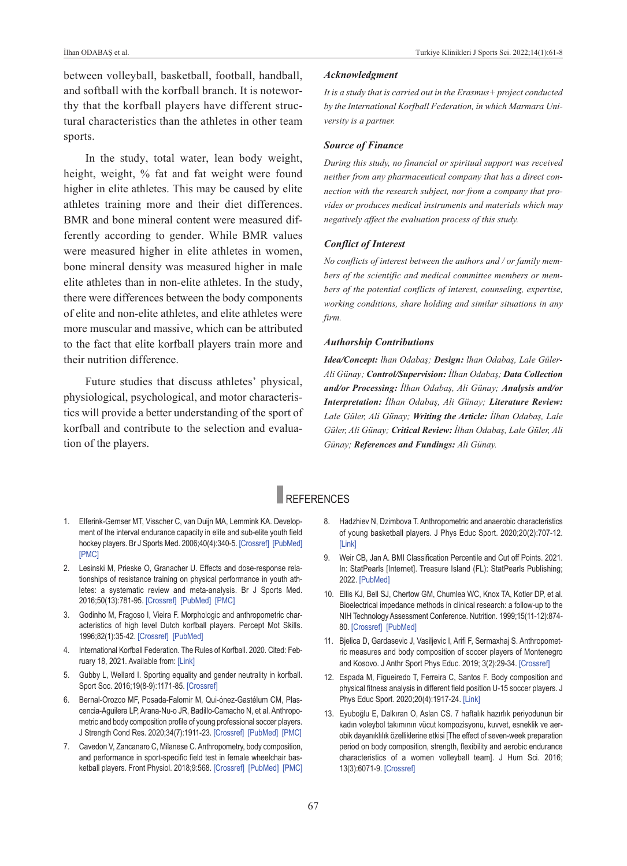between volleyball, basketball, football, handball, and softball with the korfball branch. It is noteworthy that the korfball players have different structural characteristics than the athletes in other team sports.

In the study, total water, lean body weight, height, weight, % fat and fat weight were found higher in elite athletes. This may be caused by elite athletes training more and their diet differences. BMR and bone mineral content were measured differently according to gender. While BMR values were measured higher in elite athletes in women, bone mineral density was measured higher in male elite athletes than in non-elite athletes. In the study, there were differences between the body components of elite and non-elite athletes, and elite athletes were more muscular and massive, which can be attributed to the fact that elite korfball players train more and their nutrition difference.

Future studies that discuss athletes' physical, physiological, psychological, and motor characteristics will provide a better understanding of the sport of korfball and contribute to the selection and evaluation of the players.

#### *Acknowledgment*

*It is a study that is carried out in the Erasmus+ project conducted by the International Korfball Federation, in which Marmara University is a partner.*

#### *Source of Finance*

*During this study, no financial or spiritual support was received neither from any pharmaceutical company that has a direct connection with the research subject, nor from a company that provides or produces medical instruments and materials which may negatively affect the evaluation process of this study.* 

## *Conflict of Interest*

*No conflicts of interest between the authors and / or family members of the scientific and medical committee members or members of the potential conflicts of interest, counseling, expertise, working conditions, share holding and similar situations in any firm.* 

## *Authorship Contributions*

*Idea/Concept: lhan Odabaş; Design: lhan Odabaş, Lale Güler-Ali Günay; Control/Supervision: İlhan Odabaş; Data Collection and/or Processing: İlhan Odabaş, Ali Günay; Analysis and/or Interpretation: İlhan Odabaş, Ali Günay; Literature Review: Lale Güler, Ali Günay; Writing the Article: İlhan Odabaş, Lale Güler, Ali Günay; Critical Review: İlhan Odabaş, Lale Güler, Ali Günay; References and Fundings: Ali Günay.*

## REFERENCES

- 1. Elferink-Gemser MT, Visscher C, van Duijn MA, Lemmink KA. Development of the interval endurance capacity in elite and sub-elite youth field hockey players. Br J Sports Med. 2006;40(4):340-5. [\[Crossref\]](https://bjsm.bmj.com/content/40/4/340) [\[PubMed\]](https://pubmed.ncbi.nlm.nih.gov/16556790/) [\[PMC\]](https://www.ncbi.nlm.nih.gov/pmc/articles/PMC2577536/)
- 2. Lesinski M, Prieske O, Granacher U. Effects and dose-response relationships of resistance training on physical performance in youth athletes: a systematic review and meta-analysis. Br J Sports Med. 2016;50(13):781-95. [\[Crossref\]](https://bjsm.bmj.com/content/50/13/781) [\[PubMed\]](https://pubmed.ncbi.nlm.nih.gov/26851290/) [\[PMC\]](https://www.ncbi.nlm.nih.gov/pmc/articles/PMC4941165/)
- 3. Godinho M, Fragoso I, Vieira F. Morphologic and anthropometric characteristics of high level Dutch korfball players. Percept Mot Skills. 1996;82(1):35-42. [\[Crossref\]](https://journals.sagepub.com/doi/10.2466/pms.1996.82.1.35) [\[PubMed\]](https://pubmed.ncbi.nlm.nih.gov/8668500/)
- 4. International Korfball Federation. The Rules of Korfball. 2020. Cited: February 18, 2021. Available from: [\[Link\]](https://korfball.sport/wp-content/uploads/2021/01/Rules-of-Korfball-2020-update-2021.pdf)
- 5. Gubby L, Wellard I. Sporting equality and gender neutrality in korfball. Sport Soc. 2016;19(8-9):1171-85. [\[Crossref\]](https://www.tandfonline.com/doi/full/10.1080/17430437.2015.1096261)
- 6. Bernal-Orozco MF, Posada-Falomir M, Qui-ónez-Gastélum CM, Plascencia-Aguilera LP, Arana-Nu-o JR, Badillo-Camacho N, et al. Anthropometric and body composition profile of young professional soccer players. J Strength Cond Res. 2020;34(7):1911-23. [\[Crossref\]](https://journals.lww.com/nsca-jscr/Fulltext/2020/07000/Anthropometric_and_Body_Composition_Profile_of.13.aspx) [\[PubMed\]](https://pubmed.ncbi.nlm.nih.gov/32058363/) [\[PMC\]](https://www.ncbi.nlm.nih.gov/pmc/articles/PMC7310300/)
- 7. Cavedon V, Zancanaro C, Milanese C. Anthropometry, body composition, and performance in sport-specific field test in female wheelchair basketball players. Front Physiol. 2018;9:568. [\[Crossref\]](https://www.frontiersin.org/articles/10.3389/fphys.2018.00568/full) [\[PubMed\]](https://pubmed.ncbi.nlm.nih.gov/29899703/) [\[PMC\]](https://www.ncbi.nlm.nih.gov/pmc/articles/PMC5989316/)
- <span id="page-6-0"></span>8. Hadzhiev N, Dzimbova T. Anthropometric and anaerobic characteristics of young basketball players. J Phys Educ Sport. 2020;20(2):707-12. [\[Link\]](https://web.p.ebscohost.com/abstract?site=ehost&scope=site&jrnl=22478051&AN=142858733&h=oFZ1G5cT1HrCCoPDx5XSvyzaqbCZWG7JMDA5DLLibpz6JAJeoXfFhbATJiK58ZNFZ%2bDABkNeZZj7VIfjJ0W8vg%3d%3d&crl=c&resultLocal=ErrCrlNoResults&resultNs=Ehost&crlhashurl=login.aspx%3fdirect%3dtrue%26profile%3dehost%26scope%3dsite%26authtype%3dcrawler%26jrnl%3d22478051%26AN%3d142858733)
- 9. Weir CB, Jan A. BMI Classification Percentile and Cut off Points. 2021. In: StatPearls [Internet]. Treasure Island (FL): StatPearls Publishing; 2022. [\[PubMed\]](https://pubmed.ncbi.nlm.nih.gov/31082114/)
- 10. Ellis KJ, Bell SJ, Chertow GM, Chumlea WC, Knox TA, Kotler DP, et al. Bioelectrical impedance methods in clinical research: a follow-up to the NIH Technology Assessment Conference. Nutrition. 1999;15(11-12):874- 80. [\[Crossref\]](https://www.sciencedirect.com/science/article/abs/pii/S0899900799001471?via%3Dihub) [\[PubMed\]](https://pubmed.ncbi.nlm.nih.gov/10575664/)
- 11. Bjelica D, Gardasevic J, Vasiljevic I, Arifi F, Sermaxhaj S. Anthropometric measures and body composition of soccer players of Montenegro and Kosovo. J Anthr Sport Phys Educ. 2019; 3(2):29-34. [\[Crossref\]](http://www.jaspe.ac.me/clanci/JASPE_April_2019_Bjelica_29-34.pdf)
- 12. Espada M, Figueiredo T, Ferreira C, Santos F. Body composition and physical fitness analysis in different field position U-15 soccer players. J Phys Educ Sport. 2020;20(4):1917-24. [\[Link\]](https://www.researchgate.net/publication/342610924_Body_Composition_and_Physical_Fitness_Analysis_in_Different_Field_Position_U-15_Soccer_Players)
- 13. Eyuboğlu E, Dalkıran O, Aslan CS. 7 haftalık hazırlık periyodunun bir kadın voleybol takımının vücut kompozisyonu, kuvvet, esneklik ve aerobik dayanıklılık özelliklerine etkisi [The effect of seven-week preparation period on body composition, strength, flexibility and aerobic endurance characteristics of a women volleyball team]. J Hum Sci. 2016; 13(3):6071-9. [\[Crossref\]](https://www.j-humansciences.com/ojs/index.php/IJHS/article/view/4249)